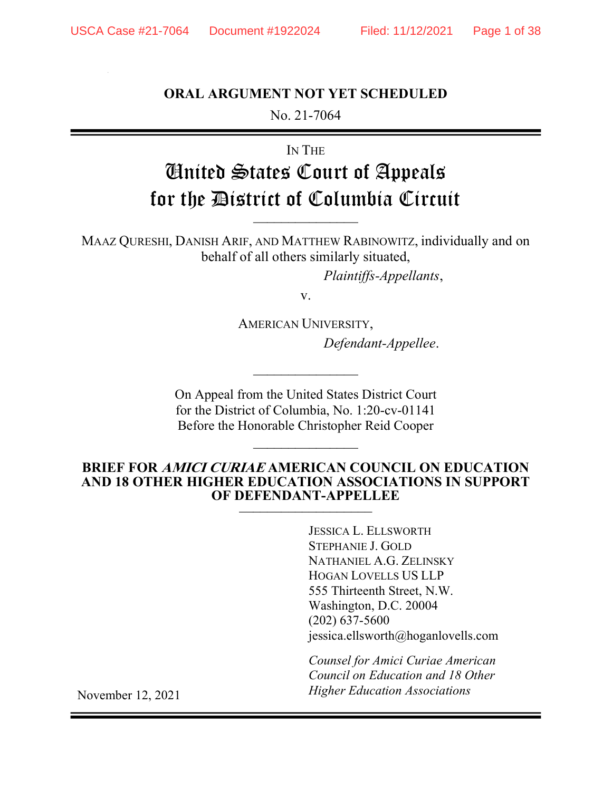# ORAL ARGUMENT NOT YET SCHEDULED

No. 21-7064

IN THE

# United States Court of Appeals for the District of Columbia Circuit  $\frac{1}{2}$

MAAZ QURESHI, DANISH ARIF, AND MATTHEW RABINOWITZ, individually and on behalf of all others similarly situated,

Plaintiffs-Appellants,

v.

AMERICAN UNIVERSITY, Defendant-Appellee.

On Appeal from the United States District Court for the District of Columbia, No. 1:20-cv-01141 Before the Honorable Christopher Reid Cooper

 $\frac{1}{2}$ 

#### BRIEF FOR AMICI CURIAE AMERICAN COUNCIL ON EDUCATION AND 18 OTHER HIGHER EDUCATION ASSOCIATIONS IN SUPPORT OF DEFENDANT-APPELLEE \_\_\_\_\_\_\_\_\_\_\_\_\_\_\_\_\_\_\_

JESSICA L. ELLSWORTH STEPHANIE J. GOLD NATHANIEL A.G. ZELINSKY HOGAN LOVELLS US LLP 555 Thirteenth Street, N.W. Washington, D.C. 20004 (202) 637-5600 jessica.ellsworth@hoganlovells.com

Counsel for Amici Curiae American Council on Education and 18 Other Higher Education Associations

November 12, 2021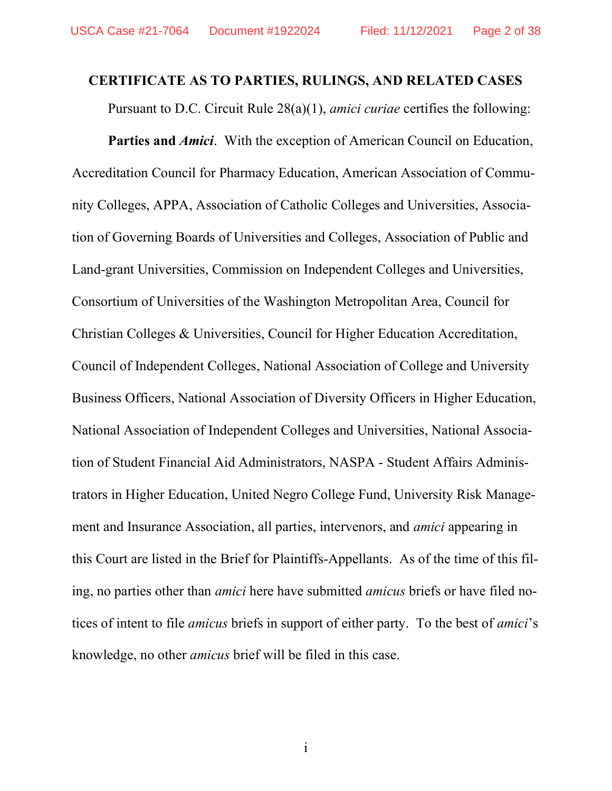#### CERTIFICATE AS TO PARTIES, RULINGS, AND RELATED CASES

Pursuant to D.C. Circuit Rule 28(a)(1), *amici curiae* certifies the following:

**Parties and Amici.** With the exception of American Council on Education, Accreditation Council for Pharmacy Education, American Association of Community Colleges, APPA, Association of Catholic Colleges and Universities, Association of Governing Boards of Universities and Colleges, Association of Public and Land-grant Universities, Commission on Independent Colleges and Universities, Consortium of Universities of the Washington Metropolitan Area, Council for Christian Colleges & Universities, Council for Higher Education Accreditation, Council of Independent Colleges, National Association of College and University Business Officers, National Association of Diversity Officers in Higher Education, National Association of Independent Colleges and Universities, National Association of Student Financial Aid Administrators, NASPA - Student Affairs Administrators in Higher Education, United Negro College Fund, University Risk Management and Insurance Association, all parties, intervenors, and amici appearing in this Court are listed in the Brief for Plaintiffs-Appellants. As of the time of this filing, no parties other than amici here have submitted amicus briefs or have filed notices of intent to file amicus briefs in support of either party. To the best of amici's knowledge, no other amicus brief will be filed in this case.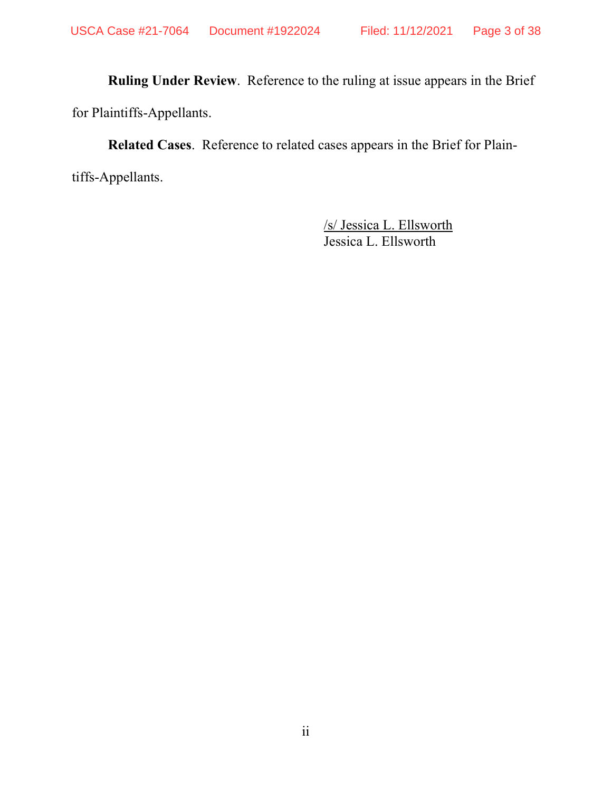Ruling Under Review. Reference to the ruling at issue appears in the Brief for Plaintiffs-Appellants.

Related Cases. Reference to related cases appears in the Brief for Plaintiffs-Appellants.

> /s/ Jessica L. Ellsworth Jessica L. Ellsworth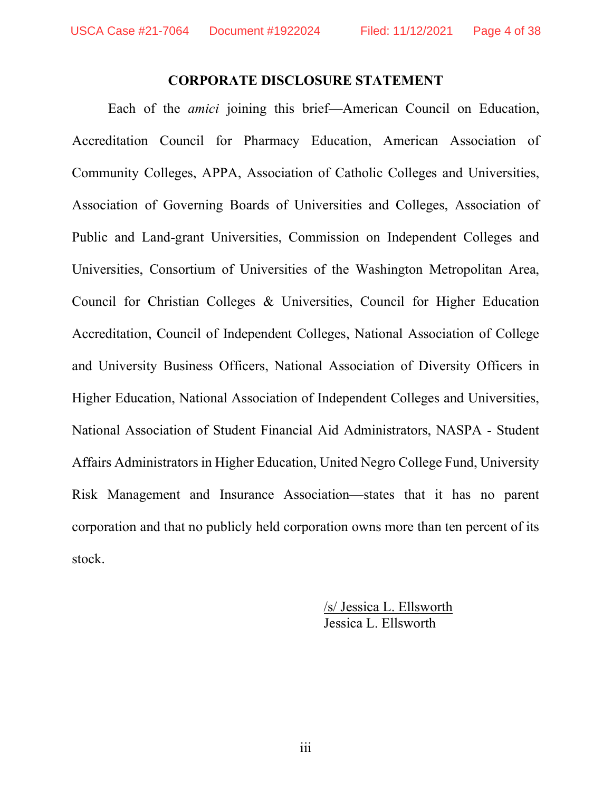#### CORPORATE DISCLOSURE STATEMENT

Each of the amici joining this brief—American Council on Education, Accreditation Council for Pharmacy Education, American Association of Community Colleges, APPA, Association of Catholic Colleges and Universities, Association of Governing Boards of Universities and Colleges, Association of Public and Land-grant Universities, Commission on Independent Colleges and Universities, Consortium of Universities of the Washington Metropolitan Area, Council for Christian Colleges & Universities, Council for Higher Education Accreditation, Council of Independent Colleges, National Association of College and University Business Officers, National Association of Diversity Officers in Higher Education, National Association of Independent Colleges and Universities, National Association of Student Financial Aid Administrators, NASPA - Student Affairs Administrators in Higher Education, United Negro College Fund, University Risk Management and Insurance Association—states that it has no parent corporation and that no publicly held corporation owns more than ten percent of its stock.

> /s/ Jessica L. Ellsworth Jessica L. Ellsworth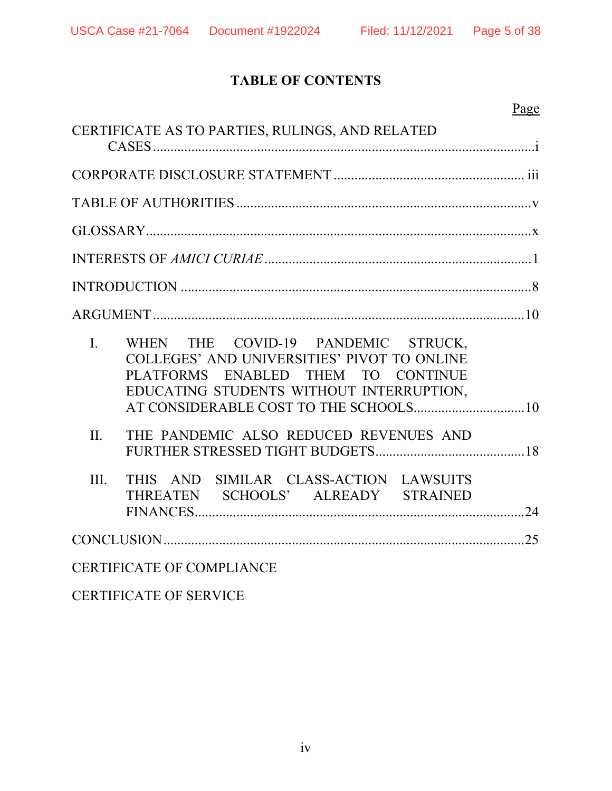# TABLE OF CONTENTS

| Page                                                                                                                                                                                  |  |
|---------------------------------------------------------------------------------------------------------------------------------------------------------------------------------------|--|
| CERTIFICATE AS TO PARTIES, RULINGS, AND RELATED                                                                                                                                       |  |
|                                                                                                                                                                                       |  |
|                                                                                                                                                                                       |  |
|                                                                                                                                                                                       |  |
|                                                                                                                                                                                       |  |
|                                                                                                                                                                                       |  |
|                                                                                                                                                                                       |  |
| WHEN THE COVID-19 PANDEMIC STRUCK,<br>$\mathbf{I}$ .<br>COLLEGES' AND UNIVERSITIES' PIVOT TO ONLINE<br>PLATFORMS ENABLED THEM TO CONTINUE<br>EDUCATING STUDENTS WITHOUT INTERRUPTION, |  |
| II.<br>THE PANDEMIC ALSO REDUCED REVENUES AND                                                                                                                                         |  |
| THIS AND SIMILAR CLASS-ACTION LAWSUITS<br>III.<br>THREATEN SCHOOLS' ALREADY STRAINED                                                                                                  |  |
|                                                                                                                                                                                       |  |
| <b>CERTIFICATE OF COMPLIANCE</b>                                                                                                                                                      |  |

CERTIFICATE OF SERVICE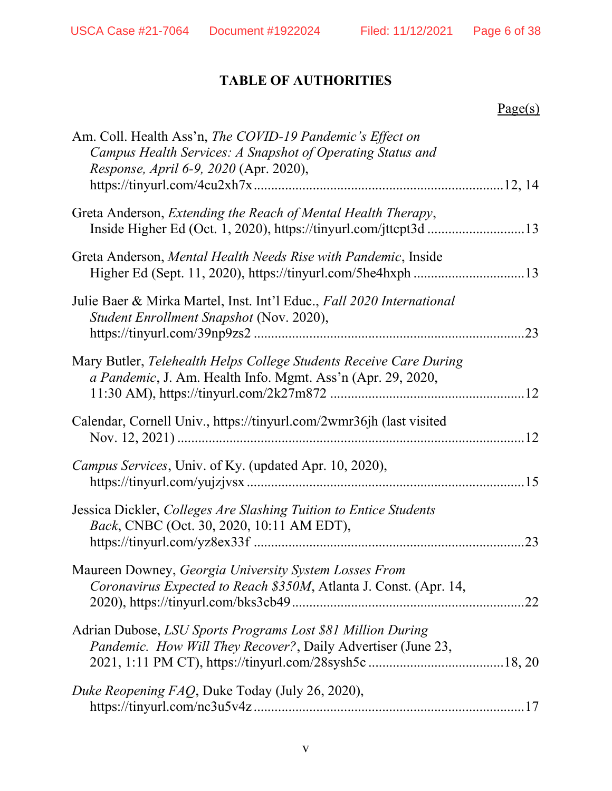# TABLE OF AUTHORITIES

# Page(s)

| Am. Coll. Health Ass'n, The COVID-19 Pandemic's Effect on<br>Campus Health Services: A Snapshot of Operating Status and<br>Response, April 6-9, 2020 (Apr. 2020), |     |
|-------------------------------------------------------------------------------------------------------------------------------------------------------------------|-----|
| Greta Anderson, Extending the Reach of Mental Health Therapy,                                                                                                     |     |
| Greta Anderson, Mental Health Needs Rise with Pandemic, Inside                                                                                                    |     |
| Julie Baer & Mirka Martel, Inst. Int'l Educ., Fall 2020 International<br>Student Enrollment Snapshot (Nov. 2020),                                                 |     |
| Mary Butler, Telehealth Helps College Students Receive Care During<br>a Pandemic, J. Am. Health Info. Mgmt. Ass'n (Apr. 29, 2020,                                 |     |
| Calendar, Cornell Univ., https://tinyurl.com/2wmr36jh (last visited                                                                                               |     |
| <i>Campus Services</i> , Univ. of Ky. (updated Apr. 10, 2020),                                                                                                    |     |
| Jessica Dickler, Colleges Are Slashing Tuition to Entice Students<br>Back, CNBC (Oct. 30, 2020, 10:11 AM EDT),                                                    | .23 |
| Maureen Downey, Georgia University System Losses From<br>Coronavirus Expected to Reach \$350M, Atlanta J. Const. (Apr. 14,                                        |     |
| Adrian Dubose, LSU Sports Programs Lost \$81 Million During<br>Pandemic. How Will They Recover?, Daily Advertiser (June 23,                                       |     |
| Duke Reopening FAQ, Duke Today (July 26, 2020),                                                                                                                   |     |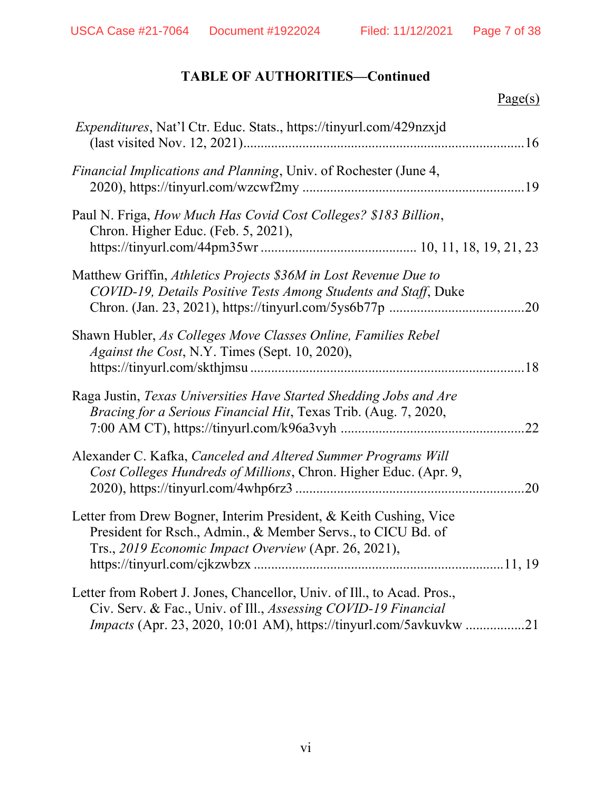## TABLE OF AUTHORITIES—Continued

# Page(s)

| Expenditures, Nat'l Ctr. Educ. Stats., https://tinyurl.com/429nzxjd                                                                                                                                                   |
|-----------------------------------------------------------------------------------------------------------------------------------------------------------------------------------------------------------------------|
| Financial Implications and Planning, Univ. of Rochester (June 4,                                                                                                                                                      |
| Paul N. Friga, How Much Has Covid Cost Colleges? \$183 Billion,<br>Chron. Higher Educ. (Feb. 5, 2021),                                                                                                                |
| Matthew Griffin, Athletics Projects \$36M in Lost Revenue Due to<br>COVID-19, Details Positive Tests Among Students and Staff, Duke                                                                                   |
| Shawn Hubler, As Colleges Move Classes Online, Families Rebel<br>Against the Cost, N.Y. Times (Sept. 10, 2020),                                                                                                       |
| Raga Justin, Texas Universities Have Started Shedding Jobs and Are<br>Bracing for a Serious Financial Hit, Texas Trib. (Aug. 7, 2020,                                                                                 |
| Alexander C. Kafka, Canceled and Altered Summer Programs Will<br>Cost Colleges Hundreds of Millions, Chron. Higher Educ. (Apr. 9,                                                                                     |
| Letter from Drew Bogner, Interim President, & Keith Cushing, Vice<br>President for Rsch., Admin., & Member Servs., to CICU Bd. of<br>Trs., 2019 Economic Impact Overview (Apr. 26, 2021),                             |
| Letter from Robert J. Jones, Chancellor, Univ. of Ill., to Acad. Pros.,<br>Civ. Serv. & Fac., Univ. of Ill., Assessing COVID-19 Financial<br><i>Impacts</i> (Apr. 23, 2020, 10:01 AM), https://tinyurl.com/5avkuvkw21 |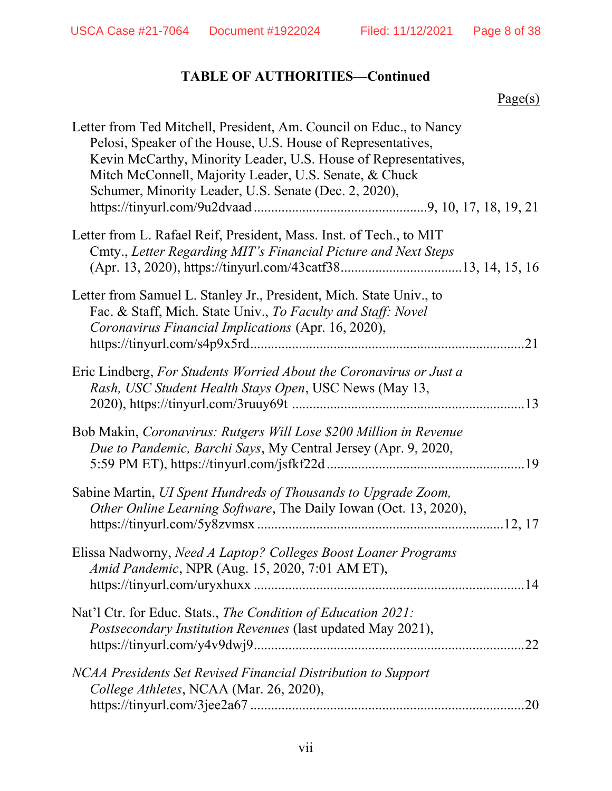## TABLE OF AUTHORITIES—Continued

| u |  |
|---|--|
|   |  |

| Letter from Ted Mitchell, President, Am. Council on Educ., to Nancy<br>Pelosi, Speaker of the House, U.S. House of Representatives,<br>Kevin McCarthy, Minority Leader, U.S. House of Representatives,<br>Mitch McConnell, Majority Leader, U.S. Senate, & Chuck<br>Schumer, Minority Leader, U.S. Senate (Dec. 2, 2020), |
|---------------------------------------------------------------------------------------------------------------------------------------------------------------------------------------------------------------------------------------------------------------------------------------------------------------------------|
| Letter from L. Rafael Reif, President, Mass. Inst. of Tech., to MIT<br>Cmty., Letter Regarding MIT's Financial Picture and Next Steps                                                                                                                                                                                     |
| Letter from Samuel L. Stanley Jr., President, Mich. State Univ., to<br>Fac. & Staff, Mich. State Univ., To Faculty and Staff: Novel<br>Coronavirus Financial Implications (Apr. 16, 2020),                                                                                                                                |
| Eric Lindberg, For Students Worried About the Coronavirus or Just a<br>Rash, USC Student Health Stays Open, USC News (May 13,                                                                                                                                                                                             |
| Bob Makin, Coronavirus: Rutgers Will Lose \$200 Million in Revenue<br>Due to Pandemic, Barchi Says, My Central Jersey (Apr. 9, 2020,                                                                                                                                                                                      |
| Sabine Martin, UI Spent Hundreds of Thousands to Upgrade Zoom,<br>Other Online Learning Software, The Daily Iowan (Oct. 13, 2020),                                                                                                                                                                                        |
| Elissa Nadworny, Need A Laptop? Colleges Boost Loaner Programs<br>Amid Pandemic, NPR (Aug. 15, 2020, 7:01 AM ET),                                                                                                                                                                                                         |
| Nat'l Ctr. for Educ. Stats., The Condition of Education 2021:<br>Postsecondary Institution Revenues (last updated May 2021),<br>.22                                                                                                                                                                                       |
| NCAA Presidents Set Revised Financial Distribution to Support<br>College Athletes, NCAA (Mar. 26, 2020),<br>20                                                                                                                                                                                                            |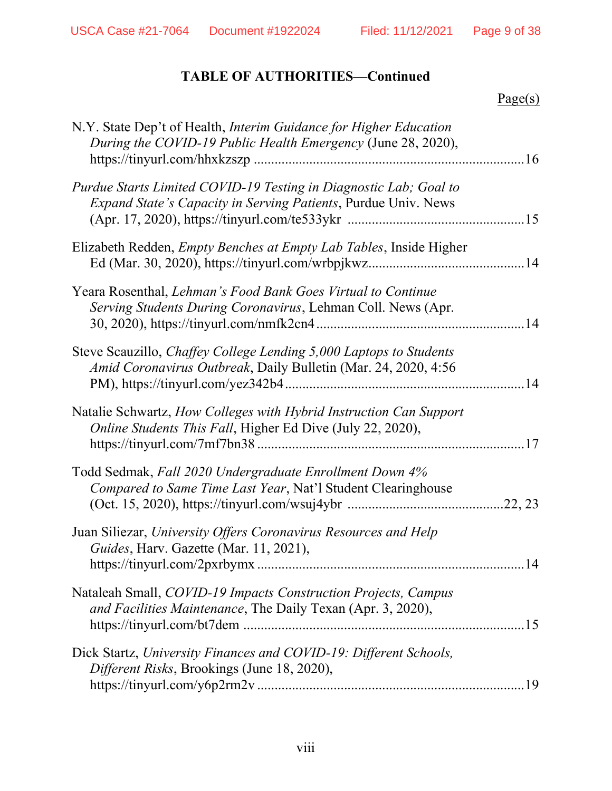## TABLE OF AUTHORITIES—Continued

# Page(s)

| N.Y. State Dep't of Health, Interim Guidance for Higher Education<br>During the COVID-19 Public Health Emergency (June 28, 2020),           |    |
|---------------------------------------------------------------------------------------------------------------------------------------------|----|
| Purdue Starts Limited COVID-19 Testing in Diagnostic Lab; Goal to<br><i>Expand State's Capacity in Serving Patients, Purdue Univ. News</i>  |    |
| Elizabeth Redden, <i>Empty Benches at Empty Lab Tables</i> , Inside Higher                                                                  |    |
| Yeara Rosenthal, Lehman's Food Bank Goes Virtual to Continue<br>Serving Students During Coronavirus, Lehman Coll. News (Apr.                |    |
| Steve Scauzillo, <i>Chaffey College Lending</i> 5,000 Laptops to Students<br>Amid Coronavirus Outbreak, Daily Bulletin (Mar. 24, 2020, 4:56 |    |
| Natalie Schwartz, How Colleges with Hybrid Instruction Can Support<br>Online Students This Fall, Higher Ed Dive (July 22, 2020),            |    |
| Todd Sedmak, Fall 2020 Undergraduate Enrollment Down 4%<br>Compared to Same Time Last Year, Nat'l Student Clearinghouse                     |    |
| Juan Siliezar, University Offers Coronavirus Resources and Help<br>Guides, Harv. Gazette (Mar. 11, 2021),<br>https://tinyurl.com/2pxrbymx   | 14 |
| Nataleah Small, COVID-19 Impacts Construction Projects, Campus<br>and Facilities Maintenance, The Daily Texan (Apr. 3, 2020),               |    |
| Dick Startz, University Finances and COVID-19: Different Schools,<br>Different Risks, Brookings (June 18, 2020),                            |    |
|                                                                                                                                             |    |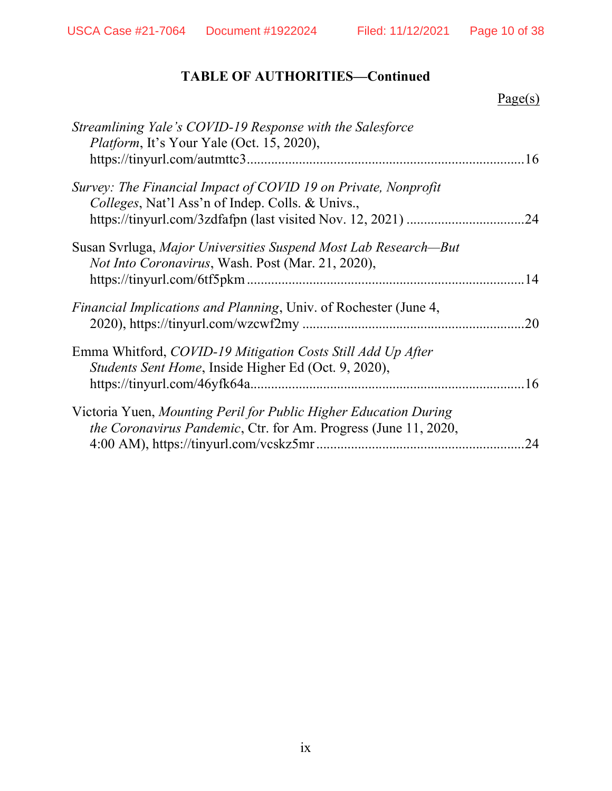USCA Case #21-7064 Document #1922024 Filed: 11/12/2021 Page 10 of 38

## TABLE OF AUTHORITIES—Continued

|                                                                                                                                             | Page(s) |
|---------------------------------------------------------------------------------------------------------------------------------------------|---------|
| Streamlining Yale's COVID-19 Response with the Salesforce<br><i>Platform</i> , It's Your Yale (Oct. 15, 2020),                              |         |
| Survey: The Financial Impact of COVID 19 on Private, Nonprofit<br>Colleges, Nat'l Ass'n of Indep. Colls. & Univs.,                          | 24      |
| Susan Svrluga, Major Universities Suspend Most Lab Research—But<br><i>Not Into Coronavirus</i> , Wash. Post (Mar. 21, 2020),                |         |
| Financial Implications and Planning, Univ. of Rochester (June 4,                                                                            | 20      |
| Emma Whitford, COVID-19 Mitigation Costs Still Add Up After<br>Students Sent Home, Inside Higher Ed (Oct. 9, 2020),                         | 16      |
| Victoria Yuen, Mounting Peril for Public Higher Education During<br><i>the Coronavirus Pandemic</i> , Ctr. for Am. Progress (June 11, 2020, | 24      |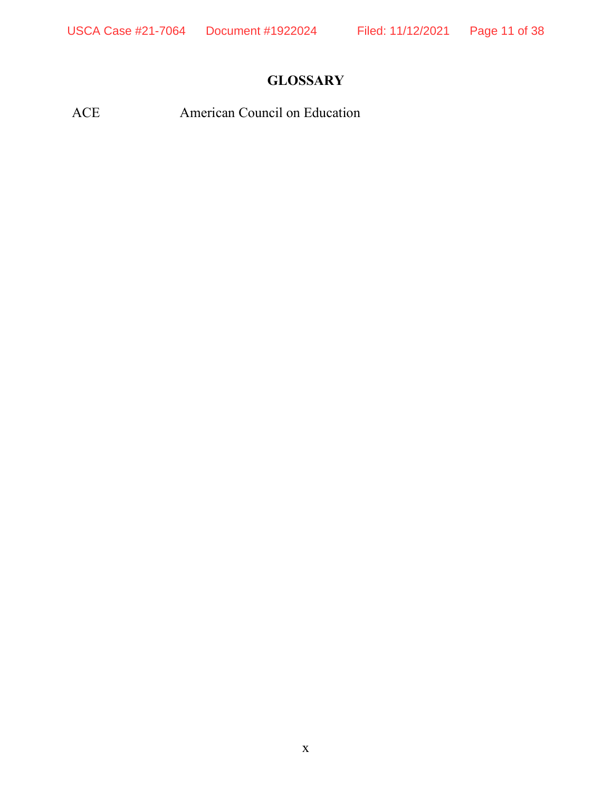# **GLOSSARY**

ACE American Council on Education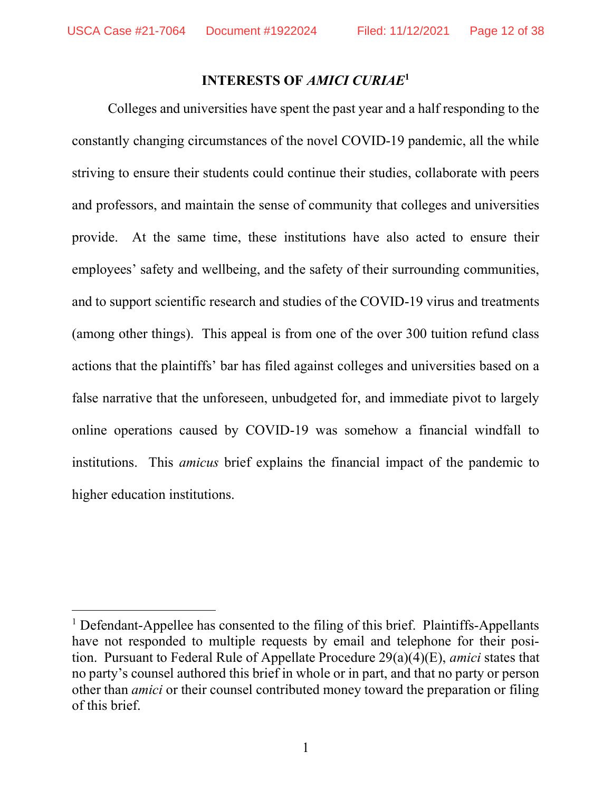#### INTERESTS OF AMICI CURIAE<sup>1</sup>

Colleges and universities have spent the past year and a half responding to the constantly changing circumstances of the novel COVID-19 pandemic, all the while striving to ensure their students could continue their studies, collaborate with peers and professors, and maintain the sense of community that colleges and universities provide. At the same time, these institutions have also acted to ensure their employees' safety and wellbeing, and the safety of their surrounding communities, and to support scientific research and studies of the COVID-19 virus and treatments (among other things). This appeal is from one of the over 300 tuition refund class actions that the plaintiffs' bar has filed against colleges and universities based on a false narrative that the unforeseen, unbudgeted for, and immediate pivot to largely online operations caused by COVID-19 was somehow a financial windfall to institutions. This amicus brief explains the financial impact of the pandemic to higher education institutions.

<sup>&</sup>lt;sup>1</sup> Defendant-Appellee has consented to the filing of this brief. Plaintiffs-Appellants have not responded to multiple requests by email and telephone for their position. Pursuant to Federal Rule of Appellate Procedure 29(a)(4)(E), amici states that no party's counsel authored this brief in whole or in part, and that no party or person other than amici or their counsel contributed money toward the preparation or filing of this brief.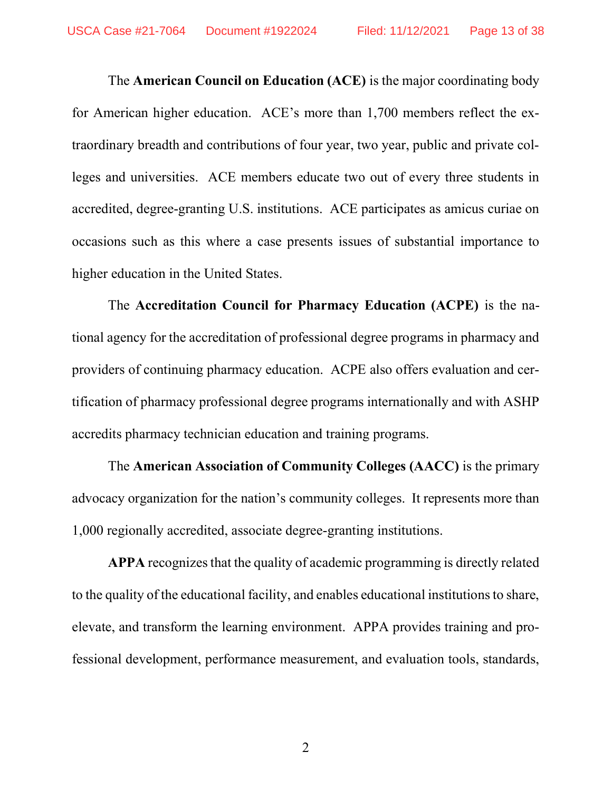The American Council on Education (ACE) is the major coordinating body for American higher education. ACE's more than 1,700 members reflect the extraordinary breadth and contributions of four year, two year, public and private colleges and universities. ACE members educate two out of every three students in accredited, degree-granting U.S. institutions. ACE participates as amicus curiae on occasions such as this where a case presents issues of substantial importance to higher education in the United States.

 The Accreditation Council for Pharmacy Education (ACPE) is the national agency for the accreditation of professional degree programs in pharmacy and providers of continuing pharmacy education. ACPE also offers evaluation and certification of pharmacy professional degree programs internationally and with ASHP accredits pharmacy technician education and training programs.

 The American Association of Community Colleges (AACC) is the primary advocacy organization for the nation's community colleges. It represents more than 1,000 regionally accredited, associate degree-granting institutions.

 APPA recognizes that the quality of academic programming is directly related to the quality of the educational facility, and enables educational institutions to share, elevate, and transform the learning environment. APPA provides training and professional development, performance measurement, and evaluation tools, standards,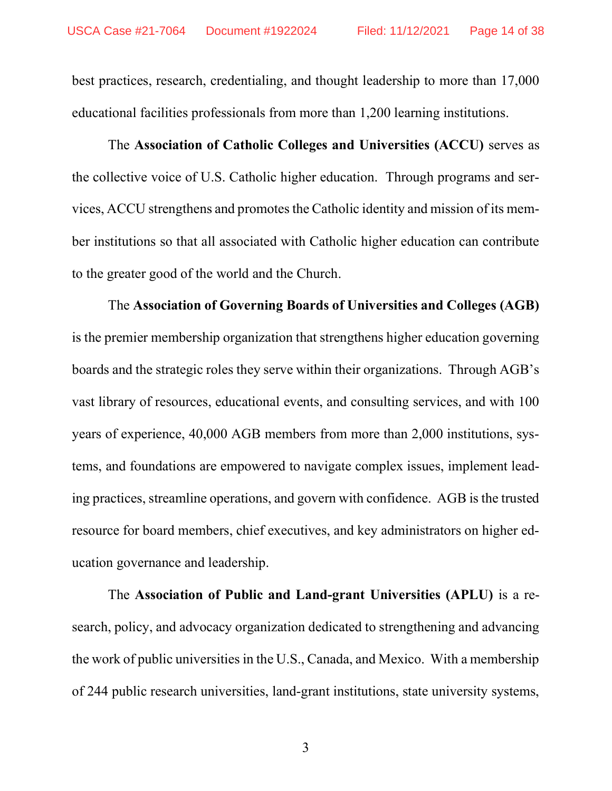best practices, research, credentialing, and thought leadership to more than 17,000 educational facilities professionals from more than 1,200 learning institutions.

 The Association of Catholic Colleges and Universities (ACCU) serves as the collective voice of U.S. Catholic higher education. Through programs and services, ACCU strengthens and promotes the Catholic identity and mission of its member institutions so that all associated with Catholic higher education can contribute to the greater good of the world and the Church.

 The Association of Governing Boards of Universities and Colleges (AGB) is the premier membership organization that strengthens higher education governing boards and the strategic roles they serve within their organizations. Through AGB's vast library of resources, educational events, and consulting services, and with 100 years of experience, 40,000 AGB members from more than 2,000 institutions, systems, and foundations are empowered to navigate complex issues, implement leading practices, streamline operations, and govern with confidence. AGB is the trusted resource for board members, chief executives, and key administrators on higher education governance and leadership.

 The Association of Public and Land-grant Universities (APLU) is a research, policy, and advocacy organization dedicated to strengthening and advancing the work of public universities in the U.S., Canada, and Mexico. With a membership of 244 public research universities, land-grant institutions, state university systems,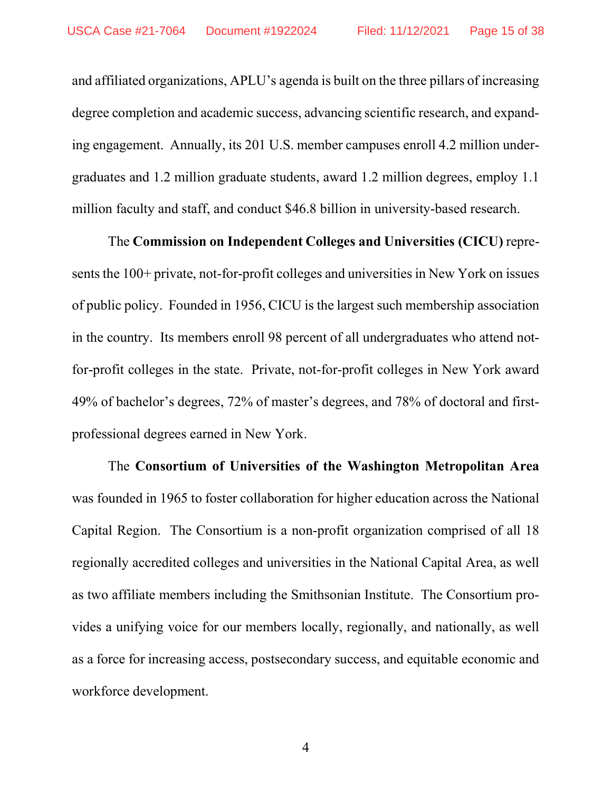and affiliated organizations, APLU's agenda is built on the three pillars of increasing degree completion and academic success, advancing scientific research, and expanding engagement. Annually, its 201 U.S. member campuses enroll 4.2 million undergraduates and 1.2 million graduate students, award 1.2 million degrees, employ 1.1 million faculty and staff, and conduct \$46.8 billion in university-based research.

 The Commission on Independent Colleges and Universities (CICU) represents the 100+ private, not-for-profit colleges and universities in New York on issues of public policy. Founded in 1956, CICU is the largest such membership association in the country. Its members enroll 98 percent of all undergraduates who attend notfor-profit colleges in the state. Private, not-for-profit colleges in New York award 49% of bachelor's degrees, 72% of master's degrees, and 78% of doctoral and firstprofessional degrees earned in New York.

 The Consortium of Universities of the Washington Metropolitan Area was founded in 1965 to foster collaboration for higher education across the National Capital Region. The Consortium is a non-profit organization comprised of all 18 regionally accredited colleges and universities in the National Capital Area, as well as two affiliate members including the Smithsonian Institute. The Consortium provides a unifying voice for our members locally, regionally, and nationally, as well as a force for increasing access, postsecondary success, and equitable economic and workforce development.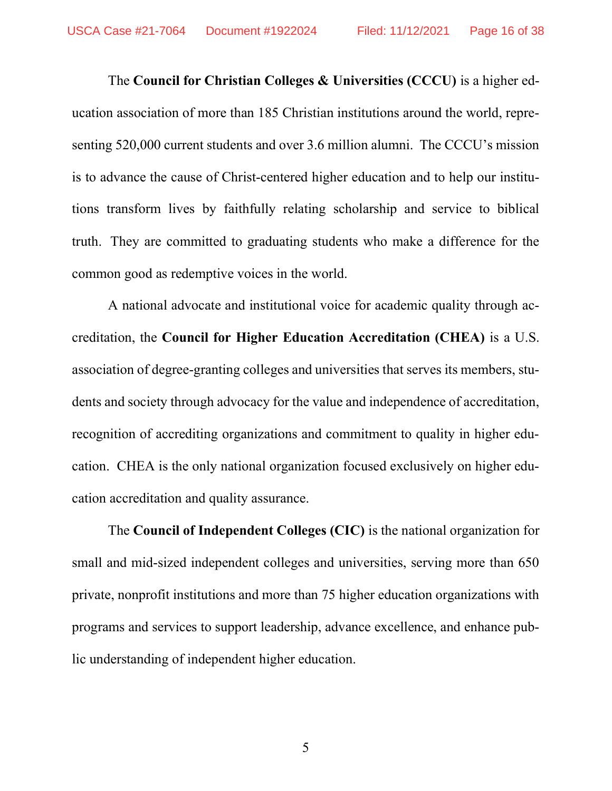The Council for Christian Colleges & Universities (CCCU) is a higher education association of more than 185 Christian institutions around the world, representing 520,000 current students and over 3.6 million alumni. The CCCU's mission is to advance the cause of Christ-centered higher education and to help our institutions transform lives by faithfully relating scholarship and service to biblical truth. They are committed to graduating students who make a difference for the common good as redemptive voices in the world.

 A national advocate and institutional voice for academic quality through accreditation, the Council for Higher Education Accreditation (CHEA) is a U.S. association of degree-granting colleges and universities that serves its members, students and society through advocacy for the value and independence of accreditation, recognition of accrediting organizations and commitment to quality in higher education. CHEA is the only national organization focused exclusively on higher education accreditation and quality assurance.

 The Council of Independent Colleges (CIC) is the national organization for small and mid-sized independent colleges and universities, serving more than 650 private, nonprofit institutions and more than 75 higher education organizations with programs and services to support leadership, advance excellence, and enhance public understanding of independent higher education.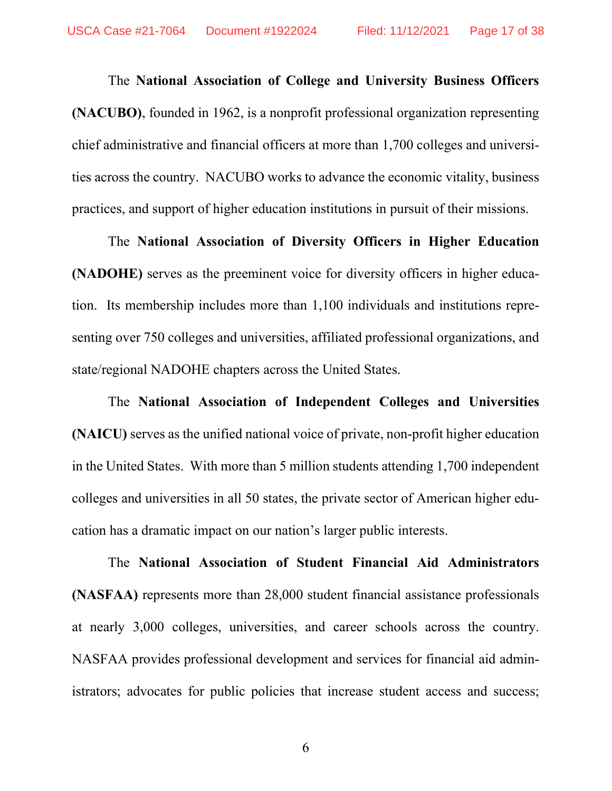The National Association of College and University Business Officers (NACUBO), founded in 1962, is a nonprofit professional organization representing chief administrative and financial officers at more than 1,700 colleges and universities across the country. NACUBO works to advance the economic vitality, business practices, and support of higher education institutions in pursuit of their missions.

 The National Association of Diversity Officers in Higher Education (NADOHE) serves as the preeminent voice for diversity officers in higher education. Its membership includes more than 1,100 individuals and institutions representing over 750 colleges and universities, affiliated professional organizations, and state/regional NADOHE chapters across the United States.

 The National Association of Independent Colleges and Universities (NAICU) serves as the unified national voice of private, non-profit higher education in the United States. With more than 5 million students attending 1,700 independent colleges and universities in all 50 states, the private sector of American higher education has a dramatic impact on our nation's larger public interests.

 The National Association of Student Financial Aid Administrators (NASFAA) represents more than 28,000 student financial assistance professionals at nearly 3,000 colleges, universities, and career schools across the country. NASFAA provides professional development and services for financial aid administrators; advocates for public policies that increase student access and success;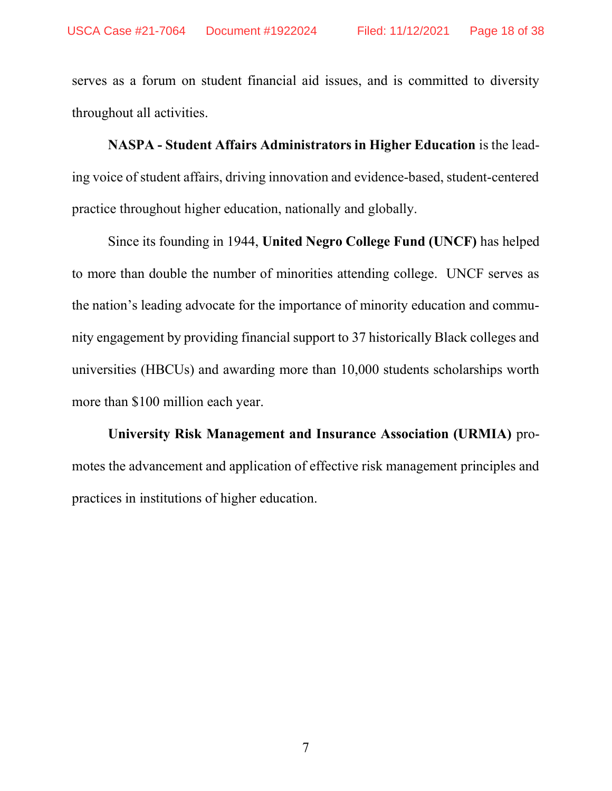serves as a forum on student financial aid issues, and is committed to diversity throughout all activities.

 NASPA - Student Affairs Administrators in Higher Education is the leading voice of student affairs, driving innovation and evidence-based, student-centered practice throughout higher education, nationally and globally.

 Since its founding in 1944, United Negro College Fund (UNCF) has helped to more than double the number of minorities attending college. UNCF serves as the nation's leading advocate for the importance of minority education and community engagement by providing financial support to 37 historically Black colleges and universities (HBCUs) and awarding more than 10,000 students scholarships worth more than \$100 million each year.

University Risk Management and Insurance Association (URMIA) promotes the advancement and application of effective risk management principles and practices in institutions of higher education.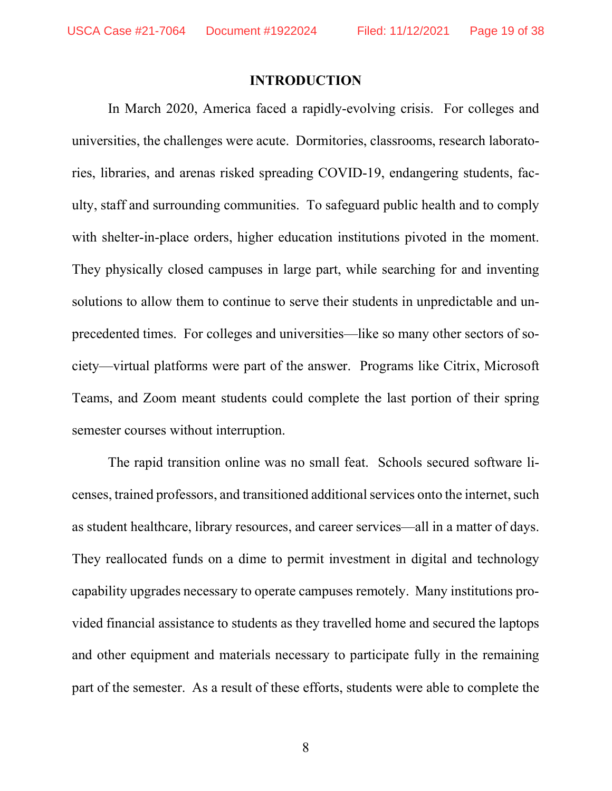#### INTRODUCTION

In March 2020, America faced a rapidly-evolving crisis. For colleges and universities, the challenges were acute. Dormitories, classrooms, research laboratories, libraries, and arenas risked spreading COVID-19, endangering students, faculty, staff and surrounding communities. To safeguard public health and to comply with shelter-in-place orders, higher education institutions pivoted in the moment. They physically closed campuses in large part, while searching for and inventing solutions to allow them to continue to serve their students in unpredictable and unprecedented times. For colleges and universities—like so many other sectors of society—virtual platforms were part of the answer. Programs like Citrix, Microsoft Teams, and Zoom meant students could complete the last portion of their spring semester courses without interruption.

The rapid transition online was no small feat. Schools secured software licenses, trained professors, and transitioned additional services onto the internet, such as student healthcare, library resources, and career services—all in a matter of days. They reallocated funds on a dime to permit investment in digital and technology capability upgrades necessary to operate campuses remotely. Many institutions provided financial assistance to students as they travelled home and secured the laptops and other equipment and materials necessary to participate fully in the remaining part of the semester. As a result of these efforts, students were able to complete the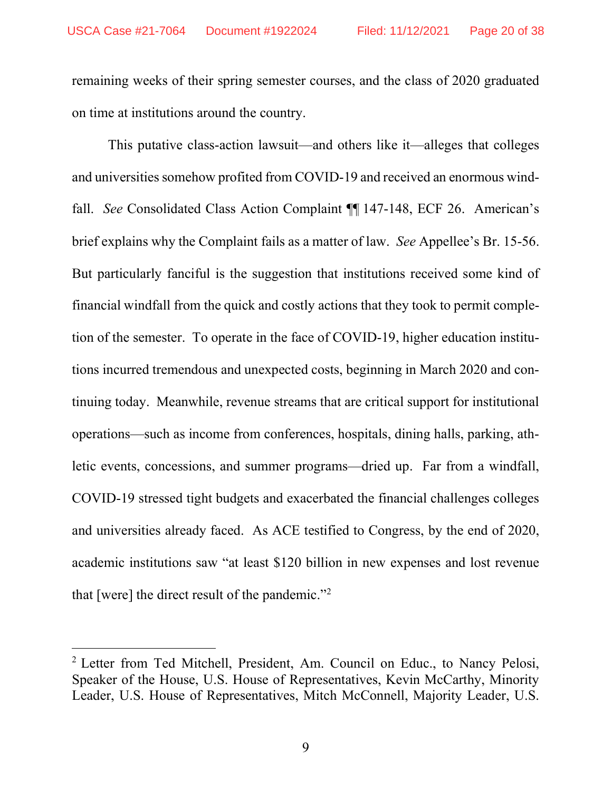remaining weeks of their spring semester courses, and the class of 2020 graduated on time at institutions around the country.

This putative class-action lawsuit—and others like it—alleges that colleges and universities somehow profited from COVID-19 and received an enormous windfall. See Consolidated Class Action Complaint ¶ 147-148, ECF 26. American's brief explains why the Complaint fails as a matter of law. See Appellee's Br. 15-56. But particularly fanciful is the suggestion that institutions received some kind of financial windfall from the quick and costly actions that they took to permit completion of the semester. To operate in the face of COVID-19, higher education institutions incurred tremendous and unexpected costs, beginning in March 2020 and continuing today. Meanwhile, revenue streams that are critical support for institutional operations—such as income from conferences, hospitals, dining halls, parking, athletic events, concessions, and summer programs—dried up. Far from a windfall, COVID-19 stressed tight budgets and exacerbated the financial challenges colleges and universities already faced. As ACE testified to Congress, by the end of 2020, academic institutions saw "at least \$120 billion in new expenses and lost revenue that [were] the direct result of the pandemic."<sup>2</sup>

<sup>&</sup>lt;sup>2</sup> Letter from Ted Mitchell, President, Am. Council on Educ., to Nancy Pelosi, Speaker of the House, U.S. House of Representatives, Kevin McCarthy, Minority Leader, U.S. House of Representatives, Mitch McConnell, Majority Leader, U.S.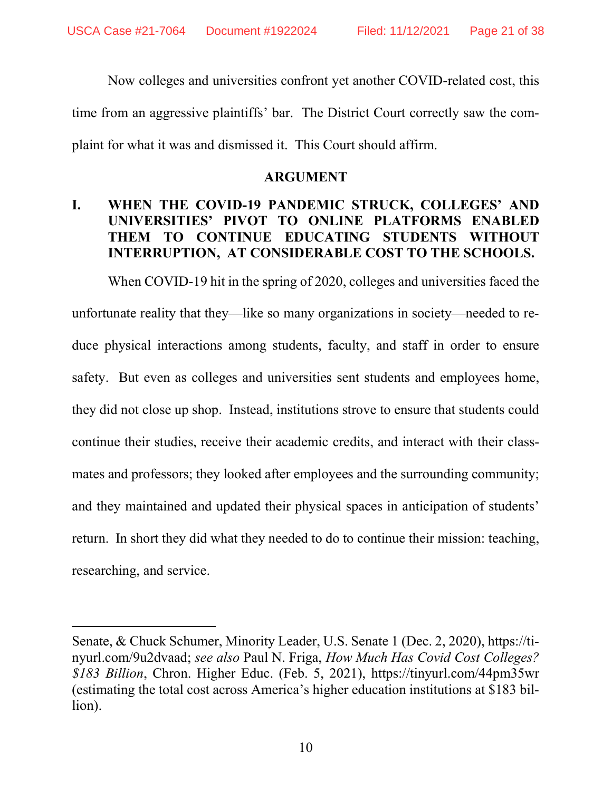Now colleges and universities confront yet another COVID-related cost, this time from an aggressive plaintiffs' bar. The District Court correctly saw the complaint for what it was and dismissed it. This Court should affirm.

#### ARGUMENT

### I. WHEN THE COVID-19 PANDEMIC STRUCK, COLLEGES' AND UNIVERSITIES' PIVOT TO ONLINE PLATFORMS ENABLED THEM TO CONTINUE EDUCATING STUDENTS WITHOUT INTERRUPTION, AT CONSIDERABLE COST TO THE SCHOOLS.

When COVID-19 hit in the spring of 2020, colleges and universities faced the unfortunate reality that they—like so many organizations in society—needed to reduce physical interactions among students, faculty, and staff in order to ensure safety. But even as colleges and universities sent students and employees home, they did not close up shop. Instead, institutions strove to ensure that students could continue their studies, receive their academic credits, and interact with their classmates and professors; they looked after employees and the surrounding community; and they maintained and updated their physical spaces in anticipation of students' return. In short they did what they needed to do to continue their mission: teaching, researching, and service.

Senate, & Chuck Schumer, Minority Leader, U.S. Senate 1 (Dec. 2, 2020), https://tinyurl.com/9u2dvaad; see also Paul N. Friga, How Much Has Covid Cost Colleges? \$183 Billion, Chron. Higher Educ. (Feb. 5, 2021), https://tinyurl.com/44pm35wr (estimating the total cost across America's higher education institutions at \$183 billion).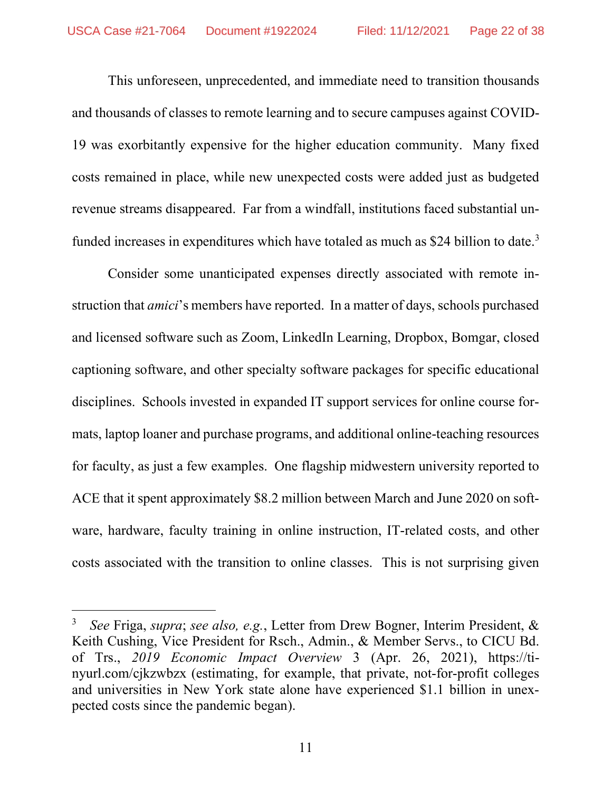This unforeseen, unprecedented, and immediate need to transition thousands and thousands of classes to remote learning and to secure campuses against COVID-19 was exorbitantly expensive for the higher education community. Many fixed costs remained in place, while new unexpected costs were added just as budgeted revenue streams disappeared. Far from a windfall, institutions faced substantial unfunded increases in expenditures which have totaled as much as \$24 billion to date.<sup>3</sup>

Consider some unanticipated expenses directly associated with remote instruction that amici's members have reported. In a matter of days, schools purchased and licensed software such as Zoom, LinkedIn Learning, Dropbox, Bomgar, closed captioning software, and other specialty software packages for specific educational disciplines. Schools invested in expanded IT support services for online course formats, laptop loaner and purchase programs, and additional online-teaching resources for faculty, as just a few examples. One flagship midwestern university reported to ACE that it spent approximately \$8.2 million between March and June 2020 on software, hardware, faculty training in online instruction, IT-related costs, and other costs associated with the transition to online classes. This is not surprising given

<sup>3</sup> See Friga, *supra*; see also, e.g., Letter from Drew Bogner, Interim President, & Keith Cushing, Vice President for Rsch., Admin., & Member Servs., to CICU Bd. of Trs., 2019 Economic Impact Overview 3 (Apr. 26, 2021), https://tinyurl.com/cjkzwbzx (estimating, for example, that private, not-for-profit colleges and universities in New York state alone have experienced \$1.1 billion in unexpected costs since the pandemic began).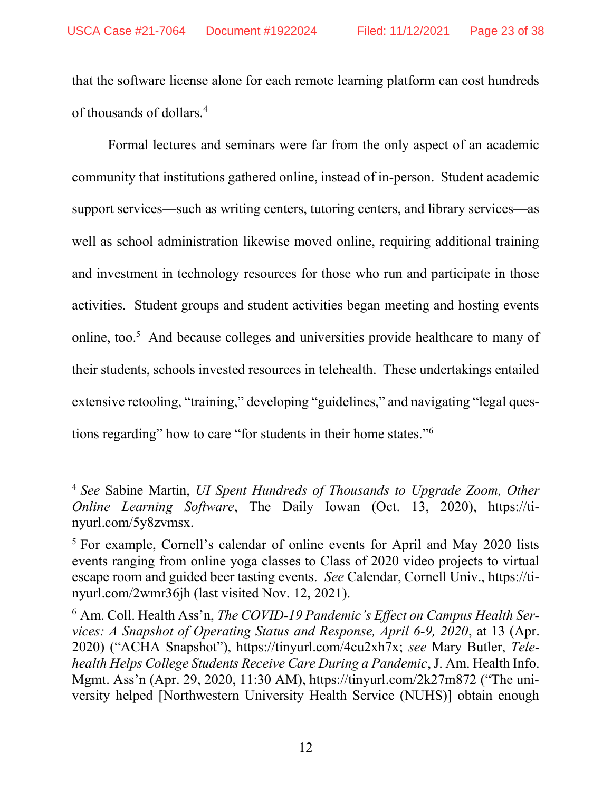that the software license alone for each remote learning platform can cost hundreds of thousands of dollars.<sup>4</sup>

Formal lectures and seminars were far from the only aspect of an academic community that institutions gathered online, instead of in-person. Student academic support services—such as writing centers, tutoring centers, and library services—as well as school administration likewise moved online, requiring additional training and investment in technology resources for those who run and participate in those activities. Student groups and student activities began meeting and hosting events online, too.<sup>5</sup> And because colleges and universities provide healthcare to many of their students, schools invested resources in telehealth. These undertakings entailed extensive retooling, "training," developing "guidelines," and navigating "legal questions regarding" how to care "for students in their home states."<sup>6</sup>

<sup>&</sup>lt;sup>4</sup> See Sabine Martin, UI Spent Hundreds of Thousands to Upgrade Zoom, Other Online Learning Software, The Daily Iowan (Oct. 13, 2020), https://tinyurl.com/5y8zvmsx.

<sup>&</sup>lt;sup>5</sup> For example, Cornell's calendar of online events for April and May 2020 lists events ranging from online yoga classes to Class of 2020 video projects to virtual escape room and guided beer tasting events. See Calendar, Cornell Univ., https://tinyurl.com/2wmr36jh (last visited Nov. 12, 2021).

 $6$  Am. Coll. Health Ass'n, The COVID-19 Pandemic's Effect on Campus Health Services: A Snapshot of Operating Status and Response, April 6-9, 2020, at 13 (Apr. 2020) ("ACHA Snapshot"), https://tinyurl.com/4cu2xh7x; see Mary Butler, Telehealth Helps College Students Receive Care During a Pandemic, J. Am. Health Info. Mgmt. Ass'n (Apr. 29, 2020, 11:30 AM), https://tinyurl.com/2k27m872 ("The university helped [Northwestern University Health Service (NUHS)] obtain enough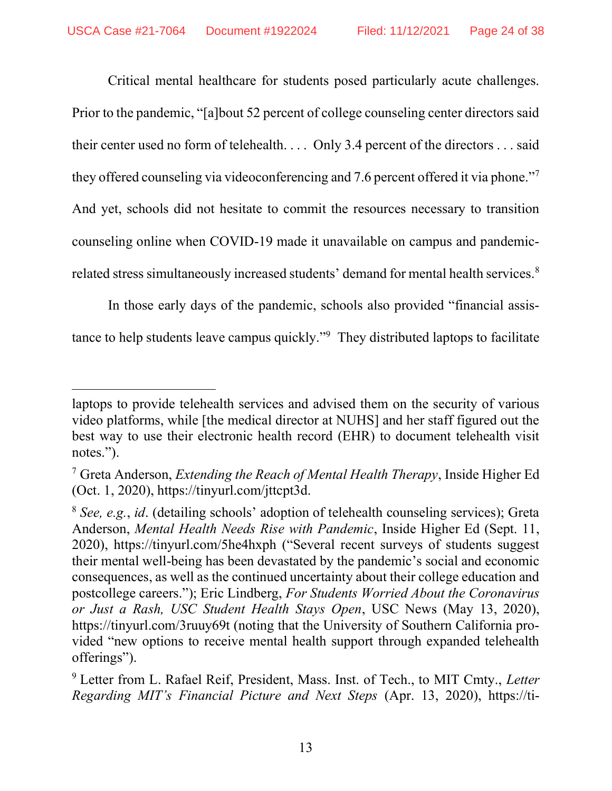Critical mental healthcare for students posed particularly acute challenges. Prior to the pandemic, "[a]bout 52 percent of college counseling center directors said their center used no form of telehealth. . . . Only 3.4 percent of the directors . . . said they offered counseling via videoconferencing and 7.6 percent offered it via phone."<sup>7</sup> And yet, schools did not hesitate to commit the resources necessary to transition counseling online when COVID-19 made it unavailable on campus and pandemicrelated stress simultaneously increased students' demand for mental health services.<sup>8</sup>

In those early days of the pandemic, schools also provided "financial assistance to help students leave campus quickly."<sup>9</sup> They distributed laptops to facilitate

laptops to provide telehealth services and advised them on the security of various video platforms, while [the medical director at NUHS] and her staff figured out the best way to use their electronic health record (EHR) to document telehealth visit notes.").

<sup>&</sup>lt;sup>7</sup> Greta Anderson, *Extending the Reach of Mental Health Therapy*, Inside Higher Ed (Oct. 1, 2020), https://tinyurl.com/jttcpt3d.

 $8$  See, e.g., id. (detailing schools' adoption of telehealth counseling services); Greta Anderson, Mental Health Needs Rise with Pandemic, Inside Higher Ed (Sept. 11, 2020), https://tinyurl.com/5he4hxph ("Several recent surveys of students suggest their mental well-being has been devastated by the pandemic's social and economic consequences, as well as the continued uncertainty about their college education and postcollege careers."); Eric Lindberg, For Students Worried About the Coronavirus or Just a Rash, USC Student Health Stays Open, USC News (May 13, 2020), https://tinyurl.com/3ruuy69t (noting that the University of Southern California provided "new options to receive mental health support through expanded telehealth offerings").

<sup>&</sup>lt;sup>9</sup> Letter from L. Rafael Reif, President, Mass. Inst. of Tech., to MIT Cmty., Letter Regarding MIT's Financial Picture and Next Steps (Apr. 13, 2020), https://ti-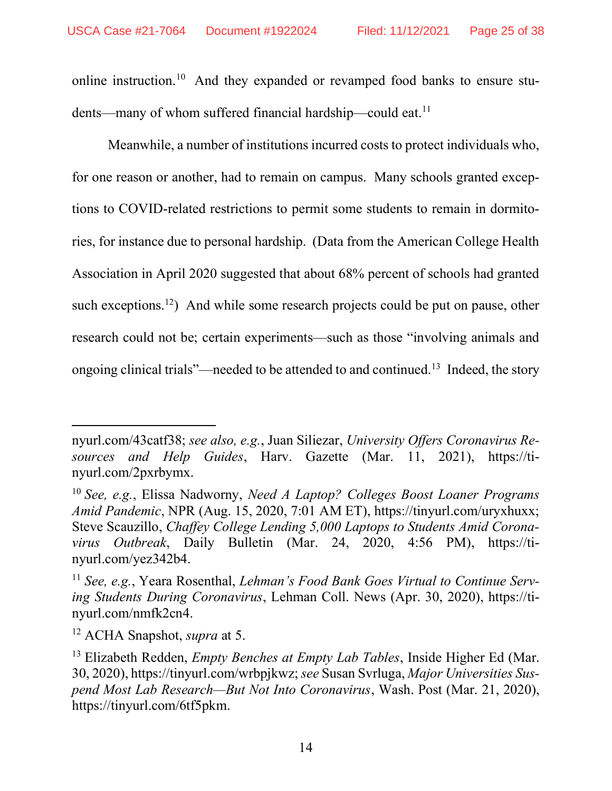online instruction.<sup>10</sup> And they expanded or revamped food banks to ensure students—many of whom suffered financial hardship—could eat.<sup>11</sup>

Meanwhile, a number of institutions incurred costs to protect individuals who, for one reason or another, had to remain on campus. Many schools granted exceptions to COVID-related restrictions to permit some students to remain in dormitories, for instance due to personal hardship. (Data from the American College Health Association in April 2020 suggested that about 68% percent of schools had granted such exceptions.<sup>12</sup>) And while some research projects could be put on pause, other research could not be; certain experiments—such as those "involving animals and ongoing clinical trials"—needed to be attended to and continued.<sup>13</sup> Indeed, the story

nyurl.com/43catf38; see also, e.g., Juan Siliezar, University Offers Coronavirus Resources and Help Guides, Harv. Gazette (Mar. 11, 2021), https://tinyurl.com/2pxrbymx.

<sup>&</sup>lt;sup>10</sup> See, e.g., Elissa Nadworny, *Need A Laptop? Colleges Boost Loaner Programs* Amid Pandemic, NPR (Aug. 15, 2020, 7:01 AM ET), https://tinyurl.com/uryxhuxx; Steve Scauzillo, Chaffey College Lending 5,000 Laptops to Students Amid Coronavirus Outbreak, Daily Bulletin (Mar. 24, 2020, 4:56 PM), https://tinyurl.com/yez342b4.

<sup>&</sup>lt;sup>11</sup> See, e.g., Yeara Rosenthal, Lehman's Food Bank Goes Virtual to Continue Serving Students During Coronavirus, Lehman Coll. News (Apr. 30, 2020), https://tinyurl.com/nmfk2cn4.

 $12$  ACHA Snapshot, *supra* at 5.

<sup>&</sup>lt;sup>13</sup> Elizabeth Redden, *Empty Benches at Empty Lab Tables*, Inside Higher Ed (Mar. 30, 2020), https://tinyurl.com/wrbpjkwz; see Susan Svrluga, Major Universities Suspend Most Lab Research—But Not Into Coronavirus, Wash. Post (Mar. 21, 2020), https://tinyurl.com/6tf5pkm.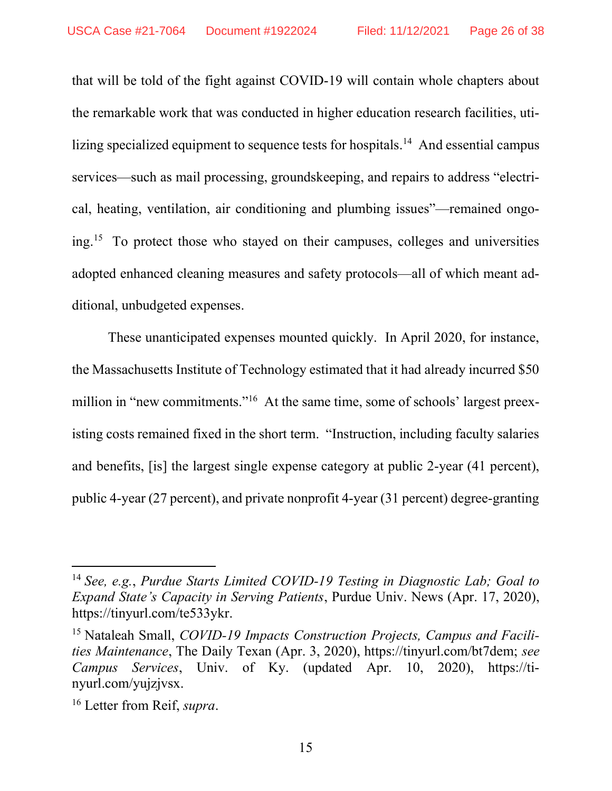that will be told of the fight against COVID-19 will contain whole chapters about the remarkable work that was conducted in higher education research facilities, utilizing specialized equipment to sequence tests for hospitals.<sup>14</sup> And essential campus services—such as mail processing, groundskeeping, and repairs to address "electrical, heating, ventilation, air conditioning and plumbing issues"—remained ongoing.<sup>15</sup> To protect those who stayed on their campuses, colleges and universities adopted enhanced cleaning measures and safety protocols—all of which meant additional, unbudgeted expenses.

These unanticipated expenses mounted quickly. In April 2020, for instance, the Massachusetts Institute of Technology estimated that it had already incurred \$50 million in "new commitments."<sup>16</sup> At the same time, some of schools' largest preexisting costs remained fixed in the short term. "Instruction, including faculty salaries and benefits, [is] the largest single expense category at public 2-year (41 percent), public 4-year (27 percent), and private nonprofit 4-year (31 percent) degree-granting

<sup>&</sup>lt;sup>14</sup> See, e.g., Purdue Starts Limited COVID-19 Testing in Diagnostic Lab; Goal to Expand State's Capacity in Serving Patients, Purdue Univ. News (Apr. 17, 2020), https://tinyurl.com/te533ykr.

<sup>&</sup>lt;sup>15</sup> Nataleah Small, *COVID-19 Impacts Construction Projects*, *Campus and Facili*ties Maintenance, The Daily Texan (Apr. 3, 2020), https://tinyurl.com/bt7dem; see Campus Services, Univ. of Ky. (updated Apr. 10, 2020), https://tinyurl.com/yujzjvsx.

<sup>&</sup>lt;sup>16</sup> Letter from Reif, *supra*.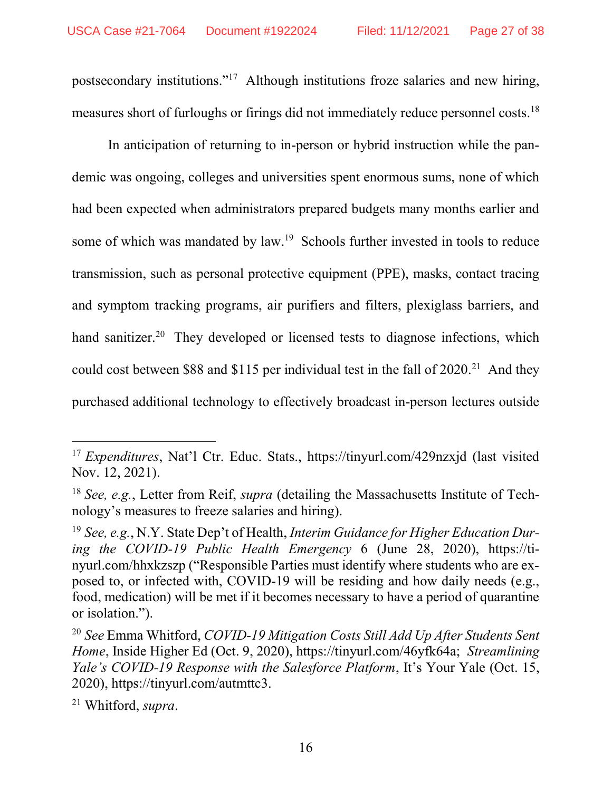postsecondary institutions."<sup>17</sup> Although institutions froze salaries and new hiring, measures short of furloughs or firings did not immediately reduce personnel costs.<sup>18</sup>

In anticipation of returning to in-person or hybrid instruction while the pandemic was ongoing, colleges and universities spent enormous sums, none of which had been expected when administrators prepared budgets many months earlier and some of which was mandated by law.<sup>19</sup> Schools further invested in tools to reduce transmission, such as personal protective equipment (PPE), masks, contact tracing and symptom tracking programs, air purifiers and filters, plexiglass barriers, and hand sanitizer.<sup>20</sup> They developed or licensed tests to diagnose infections, which could cost between \$88 and \$115 per individual test in the fall of  $2020$ <sup>21</sup> And they purchased additional technology to effectively broadcast in-person lectures outside

<sup>&</sup>lt;sup>17</sup> Expenditures, Nat'l Ctr. Educ. Stats., https://tinyurl.com/429nzxjd (last visited Nov. 12, 2021).

 $18$  See, e.g., Letter from Reif, *supra* (detailing the Massachusetts Institute of Technology's measures to freeze salaries and hiring).

<sup>&</sup>lt;sup>19</sup> See, e.g., N.Y. State Dep't of Health, Interim Guidance for Higher Education During the COVID-19 Public Health Emergency 6 (June 28, 2020), https://tinyurl.com/hhxkzszp ("Responsible Parties must identify where students who are exposed to, or infected with, COVID-19 will be residing and how daily needs (e.g., food, medication) will be met if it becomes necessary to have a period of quarantine or isolation.").

<sup>&</sup>lt;sup>20</sup> See Emma Whitford, COVID-19 Mitigation Costs Still Add Up After Students Sent Home, Inside Higher Ed (Oct. 9, 2020), https://tinyurl.com/46yfk64a; Streamlining Yale's COVID-19 Response with the Salesforce Platform, It's Your Yale (Oct. 15, 2020), https://tinyurl.com/autmttc3.

<sup>21</sup> Whitford, supra.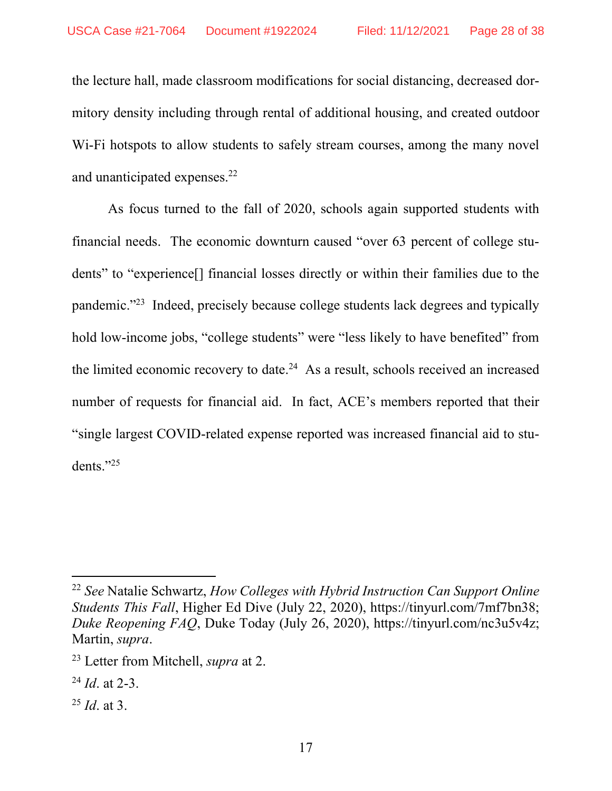the lecture hall, made classroom modifications for social distancing, decreased dormitory density including through rental of additional housing, and created outdoor W<sub>i-Fi</sub> hotspots to allow students to safely stream courses, among the many novel and unanticipated expenses.<sup>22</sup>

As focus turned to the fall of 2020, schools again supported students with financial needs. The economic downturn caused "over 63 percent of college students" to "experience[] financial losses directly or within their families due to the pandemic."<sup>23</sup> Indeed, precisely because college students lack degrees and typically hold low-income jobs, "college students" were "less likely to have benefited" from the limited economic recovery to date.<sup>24</sup> As a result, schools received an increased number of requests for financial aid. In fact, ACE's members reported that their "single largest COVID-related expense reported was increased financial aid to students."<sup>25</sup>

<sup>&</sup>lt;sup>22</sup> See Natalie Schwartz, How Colleges with Hybrid Instruction Can Support Online Students This Fall, Higher Ed Dive (July 22, 2020), https://tinyurl.com/7mf7bn38; Duke Reopening FAQ, Duke Today (July 26, 2020), https://tinyurl.com/nc3u5v4z; Martin, supra.

<sup>&</sup>lt;sup>23</sup> Letter from Mitchell, *supra* at 2.

 $^{24}$  *Id.* at 2-3.

 $^{25}$  *Id.* at 3.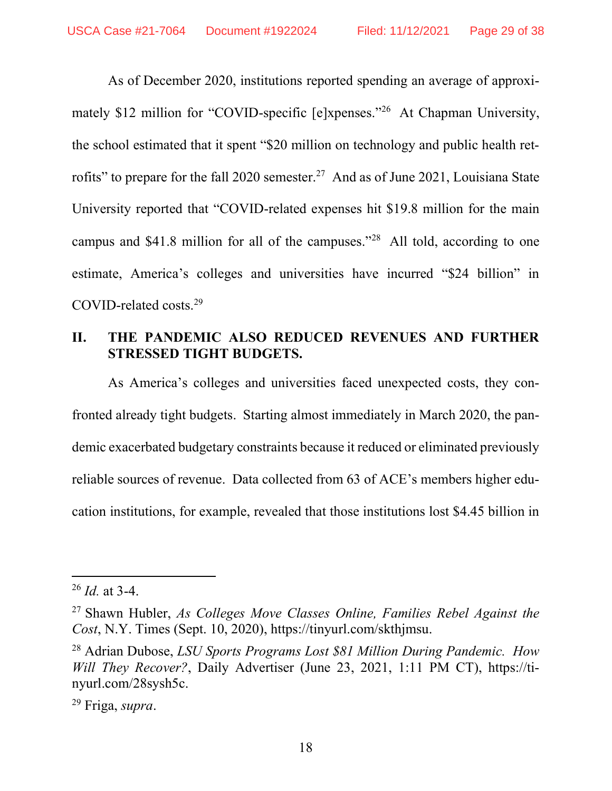As of December 2020, institutions reported spending an average of approximately \$12 million for "COVID-specific [e]xpenses."<sup>26</sup> At Chapman University, the school estimated that it spent "\$20 million on technology and public health retrofits" to prepare for the fall 2020 semester.<sup>27</sup> And as of June 2021, Louisiana State University reported that "COVID-related expenses hit \$19.8 million for the main campus and \$41.8 million for all of the campuses."<sup>28</sup> All told, according to one estimate, America's colleges and universities have incurred "\$24 billion" in COVID-related costs.<sup>29</sup>

#### II. THE PANDEMIC ALSO REDUCED REVENUES AND FURTHER STRESSED TIGHT BUDGETS.

As America's colleges and universities faced unexpected costs, they confronted already tight budgets. Starting almost immediately in March 2020, the pandemic exacerbated budgetary constraints because it reduced or eliminated previously reliable sources of revenue. Data collected from 63 of ACE's members higher education institutions, for example, revealed that those institutions lost \$4.45 billion in

 $^{26}$  *Id.* at 3-4.

 $27$  Shawn Hubler, As Colleges Move Classes Online, Families Rebel Against the Cost, N.Y. Times (Sept. 10, 2020), https://tinyurl.com/skthjmsu.

<sup>&</sup>lt;sup>28</sup> Adrian Dubose, LSU Sports Programs Lost \$81 Million During Pandemic. How Will They Recover?, Daily Advertiser (June 23, 2021, 1:11 PM CT), https://tinyurl.com/28sysh5c.

<sup>29</sup> Friga, supra.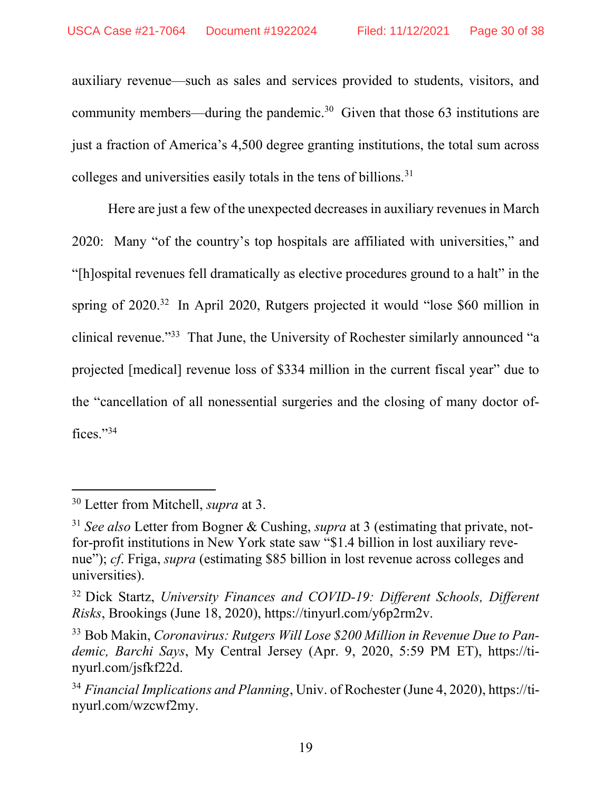auxiliary revenue—such as sales and services provided to students, visitors, and community members—during the pandemic.<sup>30</sup> Given that those 63 institutions are just a fraction of America's 4,500 degree granting institutions, the total sum across colleges and universities easily totals in the tens of billions.<sup>31</sup>

Here are just a few of the unexpected decreases in auxiliary revenues in March 2020: Many "of the country's top hospitals are affiliated with universities," and "[h]ospital revenues fell dramatically as elective procedures ground to a halt" in the spring of 2020.<sup>32</sup> In April 2020, Rutgers projected it would "lose \$60 million in clinical revenue."<sup>33</sup> That June, the University of Rochester similarly announced "a projected [medical] revenue loss of \$334 million in the current fiscal year" due to the "cancellation of all nonessential surgeries and the closing of many doctor offices."<sup>34</sup>

<sup>&</sup>lt;sup>30</sup> Letter from Mitchell, *supra* at 3.

 $31$  See also Letter from Bogner & Cushing, supra at 3 (estimating that private, notfor-profit institutions in New York state saw "\$1.4 billion in lost auxiliary revenue"); cf. Friga, supra (estimating \$85 billion in lost revenue across colleges and universities).

<sup>&</sup>lt;sup>32</sup> Dick Startz, University Finances and COVID-19: Different Schools, Different Risks, Brookings (June 18, 2020), https://tinyurl.com/y6p2rm2v.

<sup>&</sup>lt;sup>33</sup> Bob Makin, Coronavirus: Rutgers Will Lose \$200 Million in Revenue Due to Pandemic, Barchi Says, My Central Jersey (Apr. 9, 2020, 5:59 PM ET), https://tinyurl.com/jsfkf22d.

 $34$  Financial Implications and Planning, Univ. of Rochester (June 4, 2020), https://tinyurl.com/wzcwf2my.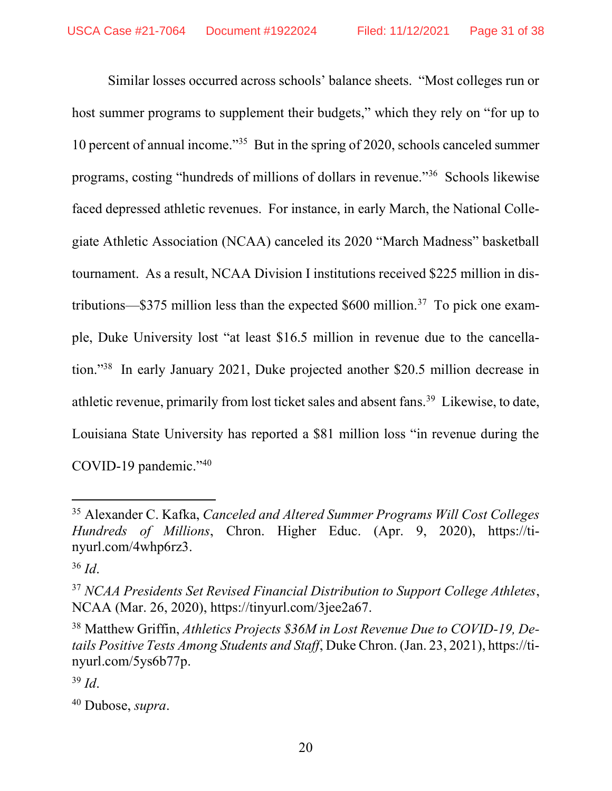Similar losses occurred across schools' balance sheets. "Most colleges run or host summer programs to supplement their budgets," which they rely on "for up to 10 percent of annual income."<sup>35</sup> But in the spring of 2020, schools canceled summer programs, costing "hundreds of millions of dollars in revenue."<sup>36</sup> Schools likewise faced depressed athletic revenues. For instance, in early March, the National Collegiate Athletic Association (NCAA) canceled its 2020 "March Madness" basketball tournament. As a result, NCAA Division I institutions received \$225 million in distributions— $$375$  million less than the expected \$600 million.<sup>37</sup> To pick one example, Duke University lost "at least \$16.5 million in revenue due to the cancellation."<sup>38</sup> In early January 2021, Duke projected another \$20.5 million decrease in athletic revenue, primarily from lost ticket sales and absent fans.<sup>39</sup> Likewise, to date, Louisiana State University has reported a \$81 million loss "in revenue during the COVID-19 pandemic."<sup>40</sup>

<sup>&</sup>lt;sup>35</sup> Alexander C. Kafka, Canceled and Altered Summer Programs Will Cost Colleges Hundreds of Millions, Chron. Higher Educ. (Apr. 9, 2020), https://tinyurl.com/4whp6rz3.

 $36$  *Id.* 

<sup>&</sup>lt;sup>37</sup> NCAA Presidents Set Revised Financial Distribution to Support College Athletes, NCAA (Mar. 26, 2020), https://tinyurl.com/3jee2a67.

<sup>&</sup>lt;sup>38</sup> Matthew Griffin, Athletics Projects \$36M in Lost Revenue Due to COVID-19, Details Positive Tests Among Students and Staff, Duke Chron. (Jan. 23, 2021), https://tinyurl.com/5ys6b77p.

 $39$  *Id.* 

 $40$  Dubose, supra.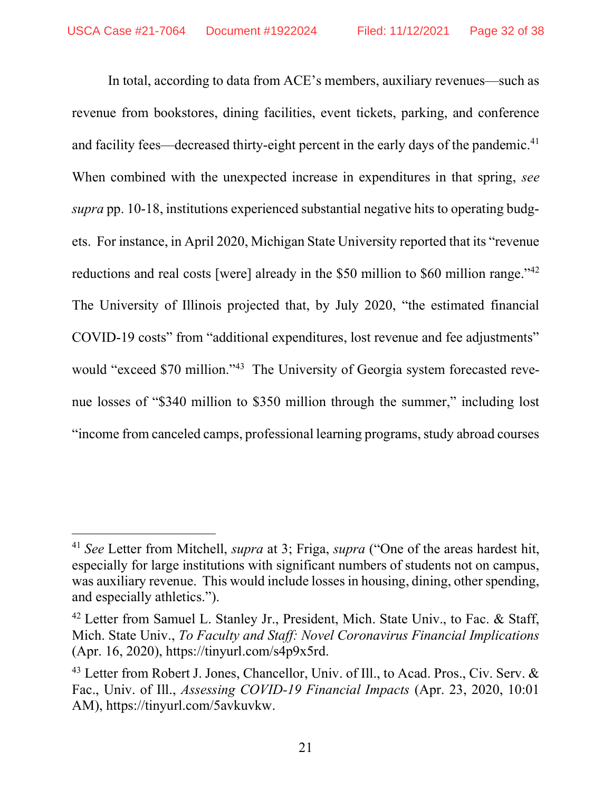In total, according to data from ACE's members, auxiliary revenues—such as revenue from bookstores, dining facilities, event tickets, parking, and conference and facility fees—decreased thirty-eight percent in the early days of the pandemic.<sup>41</sup> When combined with the unexpected increase in expenditures in that spring, see supra pp. 10-18, institutions experienced substantial negative hits to operating budgets. For instance, in April 2020, Michigan State University reported that its "revenue reductions and real costs [were] already in the \$50 million to \$60 million range."<sup>42</sup> The University of Illinois projected that, by July 2020, "the estimated financial COVID-19 costs" from "additional expenditures, lost revenue and fee adjustments" would "exceed \$70 million."<sup>43</sup> The University of Georgia system forecasted revenue losses of "\$340 million to \$350 million through the summer," including lost "income from canceled camps, professional learning programs, study abroad courses

<sup>&</sup>lt;sup>41</sup> See Letter from Mitchell, supra at 3; Friga, supra ("One of the areas hardest hit, especially for large institutions with significant numbers of students not on campus, was auxiliary revenue. This would include losses in housing, dining, other spending, and especially athletics.").

<sup>&</sup>lt;sup>42</sup> Letter from Samuel L. Stanley Jr., President, Mich. State Univ., to Fac. & Staff, Mich. State Univ., To Faculty and Staff: Novel Coronavirus Financial Implications (Apr. 16, 2020), https://tinyurl.com/s4p9x5rd.

<sup>&</sup>lt;sup>43</sup> Letter from Robert J. Jones, Chancellor, Univ. of Ill., to Acad. Pros., Civ. Serv. & Fac., Univ. of Ill., Assessing COVID-19 Financial Impacts (Apr. 23, 2020, 10:01 AM), https://tinyurl.com/5avkuvkw.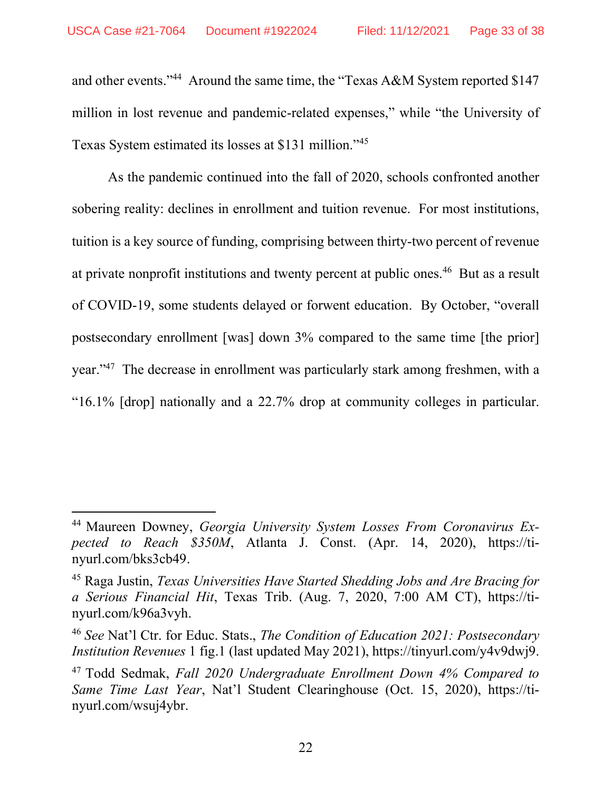and other events."<sup>44</sup> Around the same time, the "Texas A&M System reported \$147 million in lost revenue and pandemic-related expenses," while "the University of Texas System estimated its losses at \$131 million."<sup>45</sup>

As the pandemic continued into the fall of 2020, schools confronted another sobering reality: declines in enrollment and tuition revenue. For most institutions, tuition is a key source of funding, comprising between thirty-two percent of revenue at private nonprofit institutions and twenty percent at public ones.<sup>46</sup> But as a result of COVID-19, some students delayed or forwent education. By October, "overall postsecondary enrollment [was] down 3% compared to the same time [the prior] year."<sup>47</sup> The decrease in enrollment was particularly stark among freshmen, with a "16.1% [drop] nationally and a 22.7% drop at community colleges in particular.

<sup>&</sup>lt;sup>44</sup> Maureen Downey, Georgia University System Losses From Coronavirus Expected to Reach \$350M, Atlanta J. Const. (Apr. 14, 2020), https://tinyurl.com/bks3cb49.

<sup>&</sup>lt;sup>45</sup> Raga Justin, *Texas Universities Have Started Shedding Jobs and Are Bracing for* a Serious Financial Hit, Texas Trib. (Aug. 7, 2020, 7:00 AM CT), https://tinyurl.com/k96a3vyh.

<sup>&</sup>lt;sup>46</sup> See Nat'l Ctr. for Educ. Stats., The Condition of Education 2021: Postsecondary Institution Revenues 1 fig.1 (last updated May 2021), https://tinyurl.com/y4v9dwj9.

<sup>&</sup>lt;sup>47</sup> Todd Sedmak, Fall 2020 Undergraduate Enrollment Down 4% Compared to Same Time Last Year, Nat'l Student Clearinghouse (Oct. 15, 2020), https://tinyurl.com/wsuj4ybr.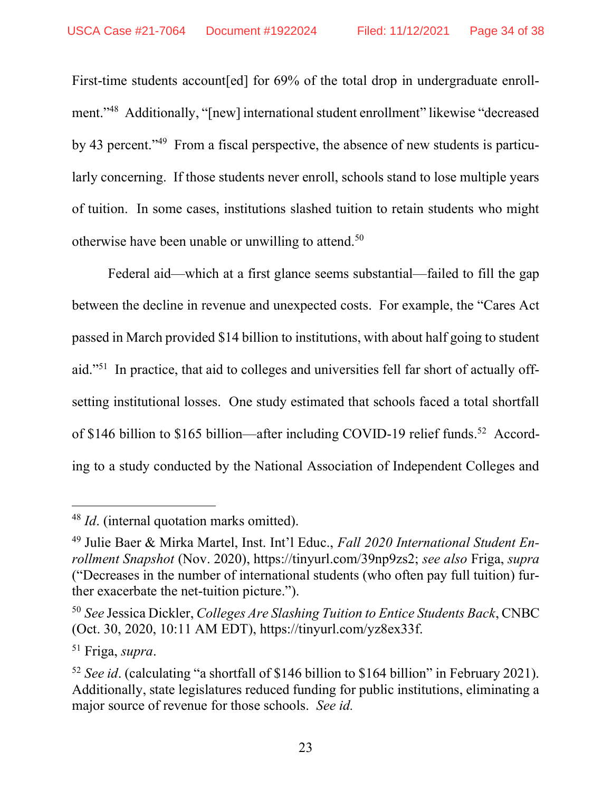First-time students account [ed] for 69% of the total drop in undergraduate enrollment."<sup>48</sup> Additionally, "[new] international student enrollment" likewise "decreased by 43 percent."49 From a fiscal perspective, the absence of new students is particularly concerning. If those students never enroll, schools stand to lose multiple years of tuition. In some cases, institutions slashed tuition to retain students who might otherwise have been unable or unwilling to attend.<sup>50</sup>

Federal aid—which at a first glance seems substantial—failed to fill the gap between the decline in revenue and unexpected costs. For example, the "Cares Act passed in March provided \$14 billion to institutions, with about half going to student aid."51 In practice, that aid to colleges and universities fell far short of actually offsetting institutional losses. One study estimated that schools faced a total shortfall of \$146 billion to \$165 billion—after including COVID-19 relief funds.52 According to a study conducted by the National Association of Independent Colleges and

 $48$  *Id.* (internal quotation marks omitted).

<sup>&</sup>lt;sup>49</sup> Julie Baer & Mirka Martel, Inst. Int'l Educ., Fall 2020 International Student Enrollment Snapshot (Nov. 2020), https://tinyurl.com/39np9zs2; see also Friga, supra ("Decreases in the number of international students (who often pay full tuition) further exacerbate the net-tuition picture.").

<sup>&</sup>lt;sup>50</sup> See Jessica Dickler, Colleges Are Slashing Tuition to Entice Students Back, CNBC (Oct. 30, 2020, 10:11 AM EDT), https://tinyurl.com/yz8ex33f.

<sup>51</sup> Friga, supra.

<sup>&</sup>lt;sup>52</sup> See id. (calculating "a shortfall of \$146 billion to \$164 billion" in February 2021). Additionally, state legislatures reduced funding for public institutions, eliminating a major source of revenue for those schools. See id.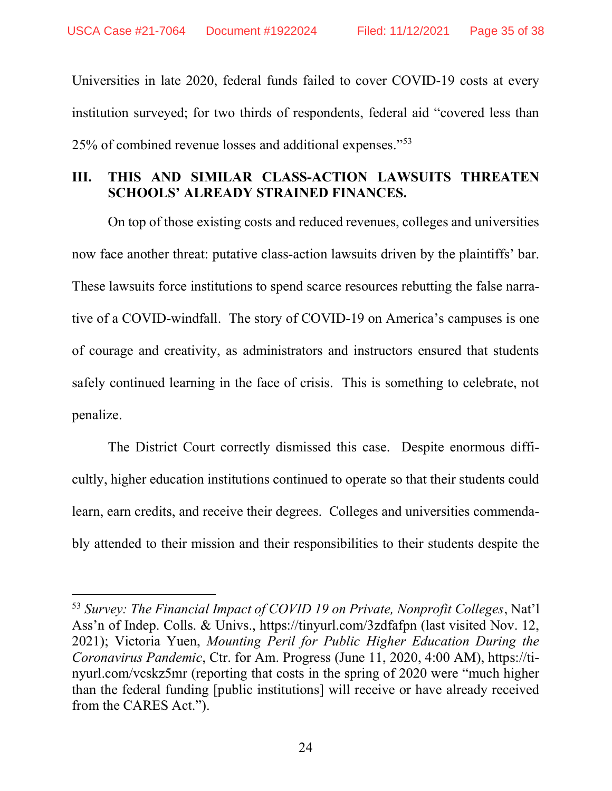Universities in late 2020, federal funds failed to cover COVID-19 costs at every institution surveyed; for two thirds of respondents, federal aid "covered less than 25% of combined revenue losses and additional expenses."<sup>53</sup>

### III. THIS AND SIMILAR CLASS-ACTION LAWSUITS THREATEN SCHOOLS' ALREADY STRAINED FINANCES.

On top of those existing costs and reduced revenues, colleges and universities now face another threat: putative class-action lawsuits driven by the plaintiffs' bar. These lawsuits force institutions to spend scarce resources rebutting the false narrative of a COVID-windfall. The story of COVID-19 on America's campuses is one of courage and creativity, as administrators and instructors ensured that students safely continued learning in the face of crisis. This is something to celebrate, not penalize.

The District Court correctly dismissed this case. Despite enormous difficultly, higher education institutions continued to operate so that their students could learn, earn credits, and receive their degrees. Colleges and universities commendably attended to their mission and their responsibilities to their students despite the

 $53$  Survey: The Financial Impact of COVID 19 on Private, Nonprofit Colleges, Nat'l Ass'n of Indep. Colls. & Univs., https://tinyurl.com/3zdfafpn (last visited Nov. 12, 2021); Victoria Yuen, Mounting Peril for Public Higher Education During the Coronavirus Pandemic, Ctr. for Am. Progress (June 11, 2020, 4:00 AM), https://tinyurl.com/vcskz5mr (reporting that costs in the spring of 2020 were "much higher than the federal funding [public institutions] will receive or have already received from the CARES Act.").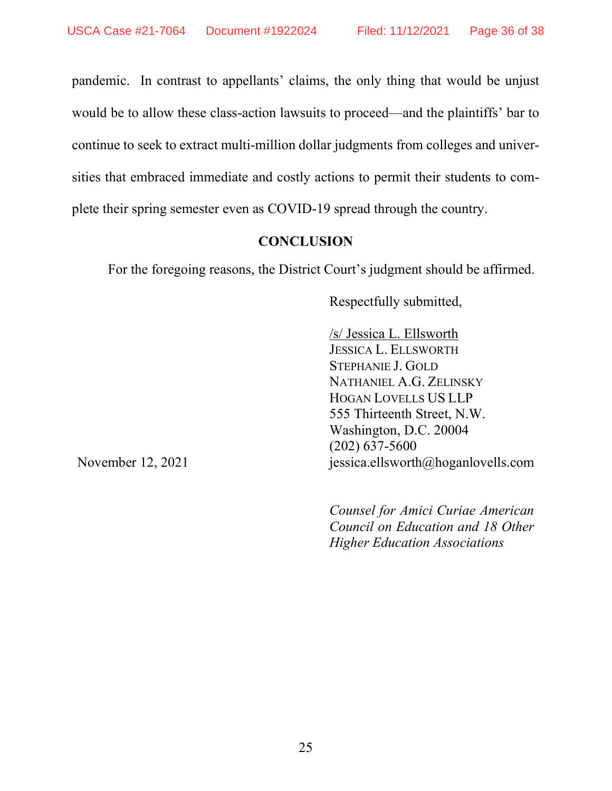pandemic. In contrast to appellants' claims, the only thing that would be unjust would be to allow these class-action lawsuits to proceed—and the plaintiffs' bar to continue to seek to extract multi-million dollar judgments from colleges and universities that embraced immediate and costly actions to permit their students to complete their spring semester even as COVID-19 spread through the country.

#### **CONCLUSION**

For the foregoing reasons, the District Court's judgment should be affirmed.

Respectfully submitted,

/s/ Jessica L. Ellsworth JESSICA L. ELLSWORTH STEPHANIE J. GOLD NATHANIEL A.G. ZELINSKY HOGAN LOVELLS US LLP 555 Thirteenth Street, N.W. Washington, D.C. 20004 (202) 637-5600 jessica.ellsworth@hoganlovells.com

Counsel for Amici Curiae American Council on Education and 18 Other Higher Education Associations

November 12, 2021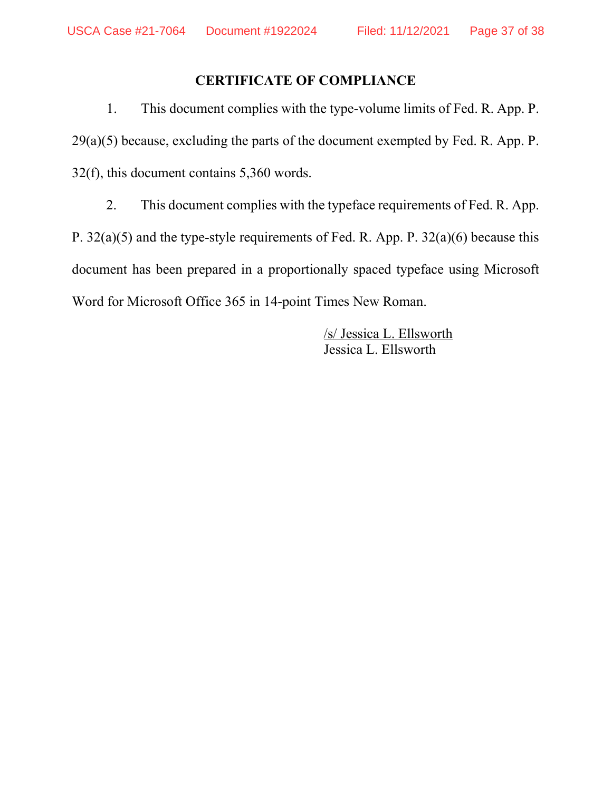### CERTIFICATE OF COMPLIANCE

 1. This document complies with the type-volume limits of Fed. R. App. P.  $29(a)(5)$  because, excluding the parts of the document exempted by Fed. R. App. P. 32(f), this document contains 5,360 words.

 2. This document complies with the typeface requirements of Fed. R. App. P. 32(a)(5) and the type-style requirements of Fed. R. App. P. 32(a)(6) because this document has been prepared in a proportionally spaced typeface using Microsoft Word for Microsoft Office 365 in 14-point Times New Roman.

> /s/ Jessica L. Ellsworth Jessica L. Ellsworth